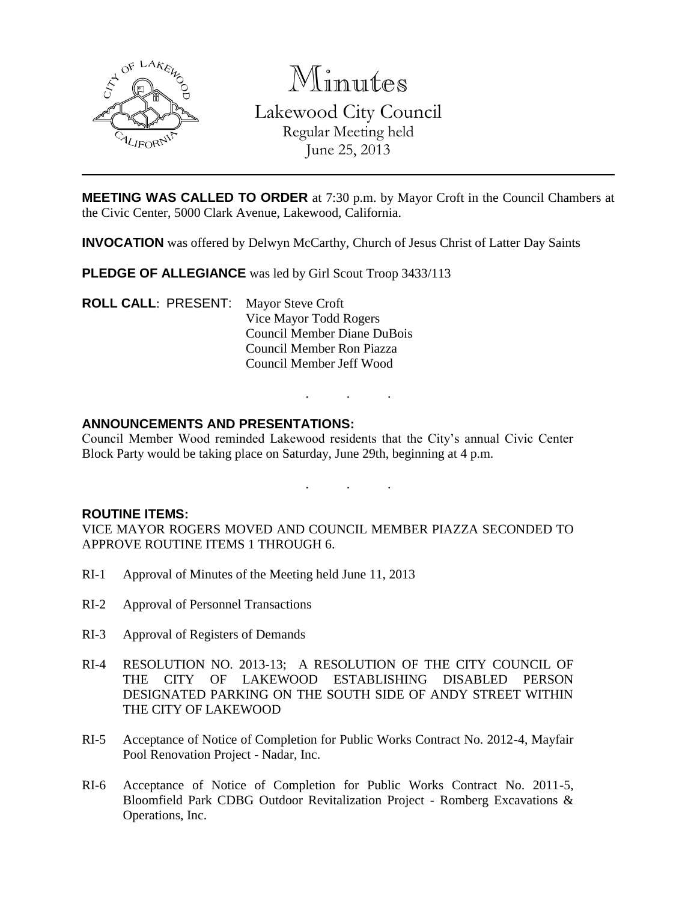

Minutes Lakewood City Council Regular Meeting held June 25, 2013

**MEETING WAS CALLED TO ORDER** at 7:30 p.m. by Mayor Croft in the Council Chambers at the Civic Center, 5000 Clark Avenue, Lakewood, California.

**INVOCATION** was offered by Delwyn McCarthy, Church of Jesus Christ of Latter Day Saints

**PLEDGE OF ALLEGIANCE** was led by Girl Scout Troop 3433/113

**ROLL CALL**: PRESENT: Mayor Steve Croft Vice Mayor Todd Rogers Council Member Diane DuBois Council Member Ron Piazza Council Member Jeff Wood

### **ANNOUNCEMENTS AND PRESENTATIONS:**

Council Member Wood reminded Lakewood residents that the City's annual Civic Center Block Party would be taking place on Saturday, June 29th, beginning at 4 p.m.

. . .

. . .

#### **ROUTINE ITEMS:**

VICE MAYOR ROGERS MOVED AND COUNCIL MEMBER PIAZZA SECONDED TO APPROVE ROUTINE ITEMS 1 THROUGH 6.

- RI-1 Approval of Minutes of the Meeting held June 11, 2013
- RI-2 Approval of Personnel Transactions
- RI-3 Approval of Registers of Demands
- RI-4 RESOLUTION NO. 2013-13; A RESOLUTION OF THE CITY COUNCIL OF THE CITY OF LAKEWOOD ESTABLISHING DISABLED PERSON DESIGNATED PARKING ON THE SOUTH SIDE OF ANDY STREET WITHIN THE CITY OF LAKEWOOD
- RI-5 Acceptance of Notice of Completion for Public Works Contract No. 2012-4, Mayfair Pool Renovation Project - Nadar, Inc.
- RI-6 Acceptance of Notice of Completion for Public Works Contract No. 2011-5, Bloomfield Park CDBG Outdoor Revitalization Project - Romberg Excavations & Operations, Inc.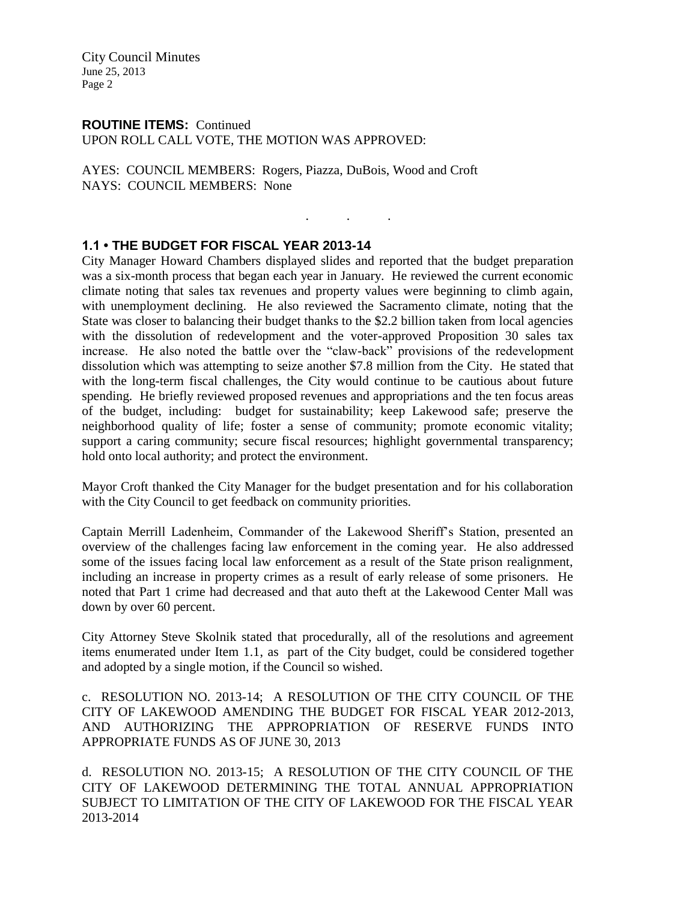### **ROUTINE ITEMS:** Continued

UPON ROLL CALL VOTE, THE MOTION WAS APPROVED:

AYES: COUNCIL MEMBERS: Rogers, Piazza, DuBois, Wood and Croft NAYS: COUNCIL MEMBERS: None

# **1.1 • THE BUDGET FOR FISCAL YEAR 2013-14**

City Manager Howard Chambers displayed slides and reported that the budget preparation was a six-month process that began each year in January. He reviewed the current economic climate noting that sales tax revenues and property values were beginning to climb again, with unemployment declining. He also reviewed the Sacramento climate, noting that the State was closer to balancing their budget thanks to the \$2.2 billion taken from local agencies with the dissolution of redevelopment and the voter-approved Proposition 30 sales tax increase. He also noted the battle over the "claw-back" provisions of the redevelopment dissolution which was attempting to seize another \$7.8 million from the City. He stated that with the long-term fiscal challenges, the City would continue to be cautious about future spending. He briefly reviewed proposed revenues and appropriations and the ten focus areas of the budget, including: budget for sustainability; keep Lakewood safe; preserve the neighborhood quality of life; foster a sense of community; promote economic vitality; support a caring community; secure fiscal resources; highlight governmental transparency; hold onto local authority; and protect the environment.

. . .

Mayor Croft thanked the City Manager for the budget presentation and for his collaboration with the City Council to get feedback on community priorities.

Captain Merrill Ladenheim, Commander of the Lakewood Sheriff's Station, presented an overview of the challenges facing law enforcement in the coming year. He also addressed some of the issues facing local law enforcement as a result of the State prison realignment, including an increase in property crimes as a result of early release of some prisoners. He noted that Part 1 crime had decreased and that auto theft at the Lakewood Center Mall was down by over 60 percent.

City Attorney Steve Skolnik stated that procedurally, all of the resolutions and agreement items enumerated under Item 1.1, as part of the City budget, could be considered together and adopted by a single motion, if the Council so wished.

c. RESOLUTION NO. 2013-14; A RESOLUTION OF THE CITY COUNCIL OF THE CITY OF LAKEWOOD AMENDING THE BUDGET FOR FISCAL YEAR 2012-2013, AND AUTHORIZING THE APPROPRIATION OF RESERVE FUNDS INTO APPROPRIATE FUNDS AS OF JUNE 30, 2013

d. RESOLUTION NO. 2013-15; A RESOLUTION OF THE CITY COUNCIL OF THE CITY OF LAKEWOOD DETERMINING THE TOTAL ANNUAL APPROPRIATION SUBJECT TO LIMITATION OF THE CITY OF LAKEWOOD FOR THE FISCAL YEAR 2013-2014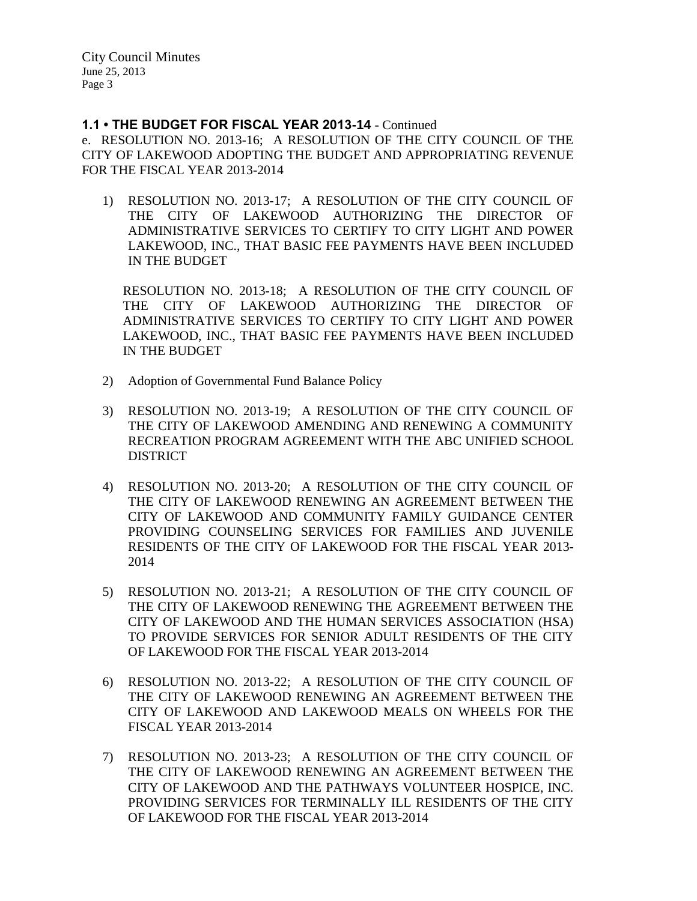### **1.1 • THE BUDGET FOR FISCAL YEAR 2013-14** - Continued

e. RESOLUTION NO. 2013-16; A RESOLUTION OF THE CITY COUNCIL OF THE CITY OF LAKEWOOD ADOPTING THE BUDGET AND APPROPRIATING REVENUE FOR THE FISCAL YEAR 2013-2014

1) RESOLUTION NO. 2013-17; A RESOLUTION OF THE CITY COUNCIL OF THE CITY OF LAKEWOOD AUTHORIZING THE DIRECTOR OF ADMINISTRATIVE SERVICES TO CERTIFY TO CITY LIGHT AND POWER LAKEWOOD, INC., THAT BASIC FEE PAYMENTS HAVE BEEN INCLUDED IN THE BUDGET

RESOLUTION NO. 2013-18; A RESOLUTION OF THE CITY COUNCIL OF THE CITY OF LAKEWOOD AUTHORIZING THE DIRECTOR OF ADMINISTRATIVE SERVICES TO CERTIFY TO CITY LIGHT AND POWER LAKEWOOD, INC., THAT BASIC FEE PAYMENTS HAVE BEEN INCLUDED IN THE BUDGET

- 2) Adoption of Governmental Fund Balance Policy
- 3) RESOLUTION NO. 2013-19; A RESOLUTION OF THE CITY COUNCIL OF THE CITY OF LAKEWOOD AMENDING AND RENEWING A COMMUNITY RECREATION PROGRAM AGREEMENT WITH THE ABC UNIFIED SCHOOL DISTRICT
- 4) RESOLUTION NO. 2013-20; A RESOLUTION OF THE CITY COUNCIL OF THE CITY OF LAKEWOOD RENEWING AN AGREEMENT BETWEEN THE CITY OF LAKEWOOD AND COMMUNITY FAMILY GUIDANCE CENTER PROVIDING COUNSELING SERVICES FOR FAMILIES AND JUVENILE RESIDENTS OF THE CITY OF LAKEWOOD FOR THE FISCAL YEAR 2013- 2014
- 5) RESOLUTION NO. 2013-21; A RESOLUTION OF THE CITY COUNCIL OF THE CITY OF LAKEWOOD RENEWING THE AGREEMENT BETWEEN THE CITY OF LAKEWOOD AND THE HUMAN SERVICES ASSOCIATION (HSA) TO PROVIDE SERVICES FOR SENIOR ADULT RESIDENTS OF THE CITY OF LAKEWOOD FOR THE FISCAL YEAR 2013-2014
- 6) RESOLUTION NO. 2013-22; A RESOLUTION OF THE CITY COUNCIL OF THE CITY OF LAKEWOOD RENEWING AN AGREEMENT BETWEEN THE CITY OF LAKEWOOD AND LAKEWOOD MEALS ON WHEELS FOR THE FISCAL YEAR 2013-2014
- 7) RESOLUTION NO. 2013-23; A RESOLUTION OF THE CITY COUNCIL OF THE CITY OF LAKEWOOD RENEWING AN AGREEMENT BETWEEN THE CITY OF LAKEWOOD AND THE PATHWAYS VOLUNTEER HOSPICE, INC. PROVIDING SERVICES FOR TERMINALLY ILL RESIDENTS OF THE CITY OF LAKEWOOD FOR THE FISCAL YEAR 2013-2014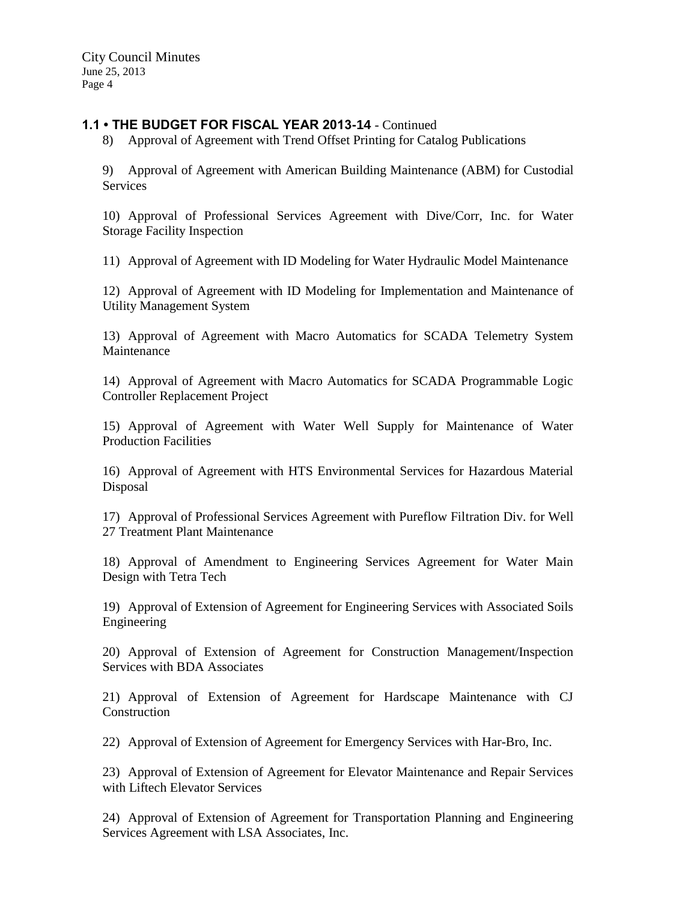### **1.1 • THE BUDGET FOR FISCAL YEAR 2013-14** - Continued

8) Approval of Agreement with Trend Offset Printing for Catalog Publications

9) Approval of Agreement with American Building Maintenance (ABM) for Custodial Services

10) Approval of Professional Services Agreement with Dive/Corr, Inc. for Water Storage Facility Inspection

11) Approval of Agreement with ID Modeling for Water Hydraulic Model Maintenance

12) Approval of Agreement with ID Modeling for Implementation and Maintenance of Utility Management System

13) Approval of Agreement with Macro Automatics for SCADA Telemetry System Maintenance

14) Approval of Agreement with Macro Automatics for SCADA Programmable Logic Controller Replacement Project

15) Approval of Agreement with Water Well Supply for Maintenance of Water Production Facilities

16) Approval of Agreement with HTS Environmental Services for Hazardous Material Disposal

17) Approval of Professional Services Agreement with Pureflow Filtration Div. for Well 27 Treatment Plant Maintenance

18) Approval of Amendment to Engineering Services Agreement for Water Main Design with Tetra Tech

19) Approval of Extension of Agreement for Engineering Services with Associated Soils Engineering

20) Approval of Extension of Agreement for Construction Management/Inspection Services with BDA Associates

21) Approval of Extension of Agreement for Hardscape Maintenance with CJ **Construction** 

22) Approval of Extension of Agreement for Emergency Services with Har-Bro, Inc.

23) Approval of Extension of Agreement for Elevator Maintenance and Repair Services with Liftech Elevator Services

24) Approval of Extension of Agreement for Transportation Planning and Engineering Services Agreement with LSA Associates, Inc.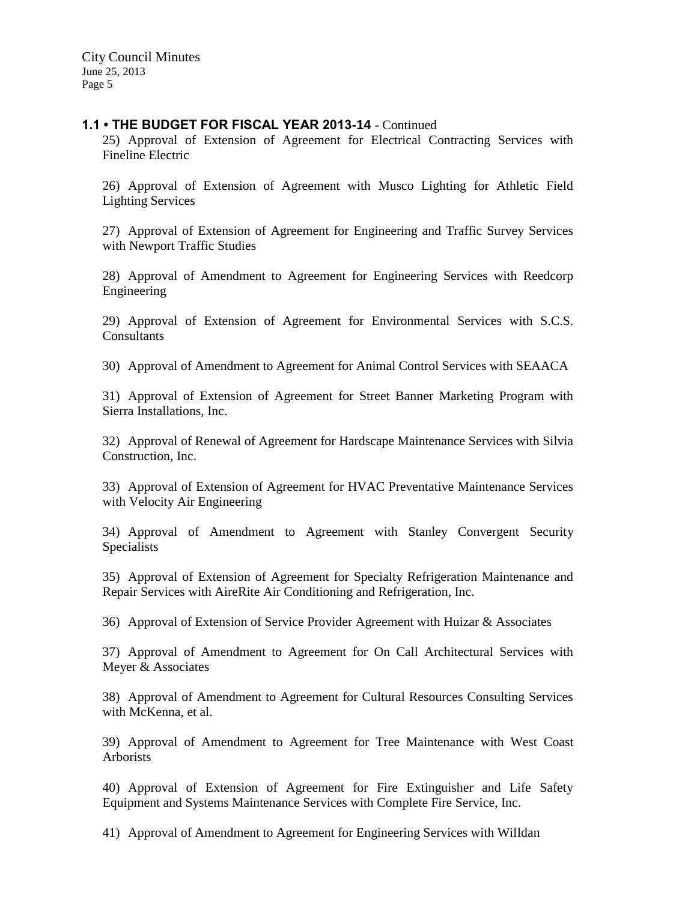### **1.1 • THE BUDGET FOR FISCAL YEAR 2013-14** - Continued

25) Approval of Extension of Agreement for Electrical Contracting Services with Fineline Electric

26) Approval of Extension of Agreement with Musco Lighting for Athletic Field Lighting Services

27) Approval of Extension of Agreement for Engineering and Traffic Survey Services with Newport Traffic Studies

28) Approval of Amendment to Agreement for Engineering Services with Reedcorp Engineering

29) Approval of Extension of Agreement for Environmental Services with S.C.S. Consultants

30) Approval of Amendment to Agreement for Animal Control Services with SEAACA

31) Approval of Extension of Agreement for Street Banner Marketing Program with Sierra Installations, Inc.

32) Approval of Renewal of Agreement for Hardscape Maintenance Services with Silvia Construction, Inc.

33) Approval of Extension of Agreement for HVAC Preventative Maintenance Services with Velocity Air Engineering

34) Approval of Amendment to Agreement with Stanley Convergent Security Specialists

35) Approval of Extension of Agreement for Specialty Refrigeration Maintenance and Repair Services with AireRite Air Conditioning and Refrigeration, Inc.

36) Approval of Extension of Service Provider Agreement with Huizar & Associates

37) Approval of Amendment to Agreement for On Call Architectural Services with Meyer & Associates

38) Approval of Amendment to Agreement for Cultural Resources Consulting Services with McKenna, et al.

39) Approval of Amendment to Agreement for Tree Maintenance with West Coast Arborists

40) Approval of Extension of Agreement for Fire Extinguisher and Life Safety Equipment and Systems Maintenance Services with Complete Fire Service, Inc.

41) Approval of Amendment to Agreement for Engineering Services with Willdan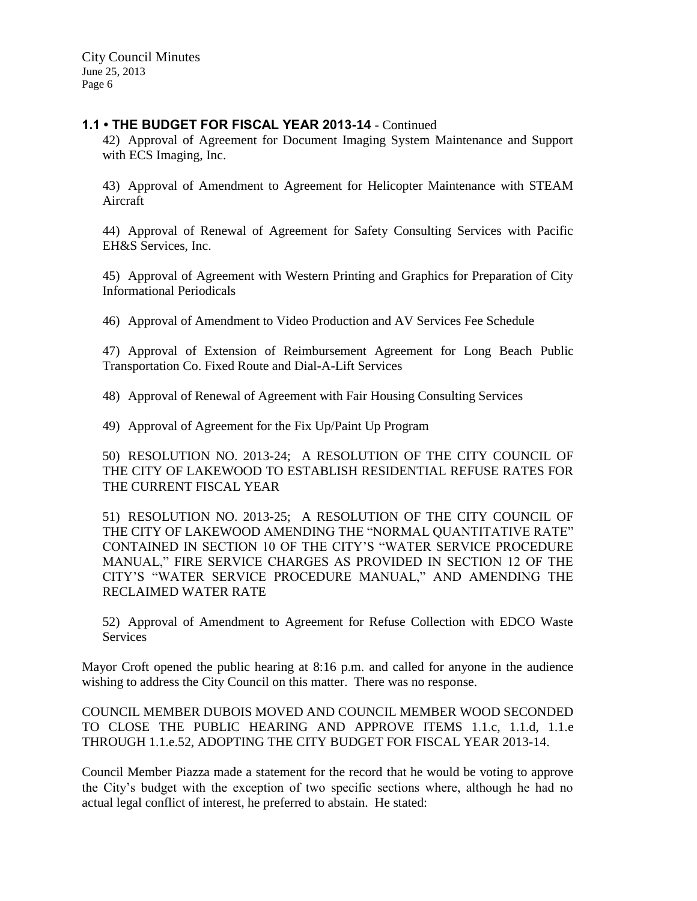### **1.1 • THE BUDGET FOR FISCAL YEAR 2013-14** - Continued

42) Approval of Agreement for Document Imaging System Maintenance and Support with ECS Imaging, Inc.

43) Approval of Amendment to Agreement for Helicopter Maintenance with STEAM Aircraft

44) Approval of Renewal of Agreement for Safety Consulting Services with Pacific EH&S Services, Inc.

45) Approval of Agreement with Western Printing and Graphics for Preparation of City Informational Periodicals

46) Approval of Amendment to Video Production and AV Services Fee Schedule

47) Approval of Extension of Reimbursement Agreement for Long Beach Public Transportation Co. Fixed Route and Dial-A-Lift Services

48) Approval of Renewal of Agreement with Fair Housing Consulting Services

49) Approval of Agreement for the Fix Up/Paint Up Program

50) RESOLUTION NO. 2013-24; A RESOLUTION OF THE CITY COUNCIL OF THE CITY OF LAKEWOOD TO ESTABLISH RESIDENTIAL REFUSE RATES FOR THE CURRENT FISCAL YEAR

51) RESOLUTION NO. 2013-25; A RESOLUTION OF THE CITY COUNCIL OF THE CITY OF LAKEWOOD AMENDING THE "NORMAL QUANTITATIVE RATE" CONTAINED IN SECTION 10 OF THE CITY'S "WATER SERVICE PROCEDURE MANUAL," FIRE SERVICE CHARGES AS PROVIDED IN SECTION 12 OF THE CITY'S "WATER SERVICE PROCEDURE MANUAL," AND AMENDING THE RECLAIMED WATER RATE

52) Approval of Amendment to Agreement for Refuse Collection with EDCO Waste Services

Mayor Croft opened the public hearing at 8:16 p.m. and called for anyone in the audience wishing to address the City Council on this matter. There was no response.

COUNCIL MEMBER DUBOIS MOVED AND COUNCIL MEMBER WOOD SECONDED TO CLOSE THE PUBLIC HEARING AND APPROVE ITEMS 1.1.c, 1.1.d, 1.1.e THROUGH 1.1.e.52, ADOPTING THE CITY BUDGET FOR FISCAL YEAR 2013-14.

Council Member Piazza made a statement for the record that he would be voting to approve the City's budget with the exception of two specific sections where, although he had no actual legal conflict of interest, he preferred to abstain. He stated: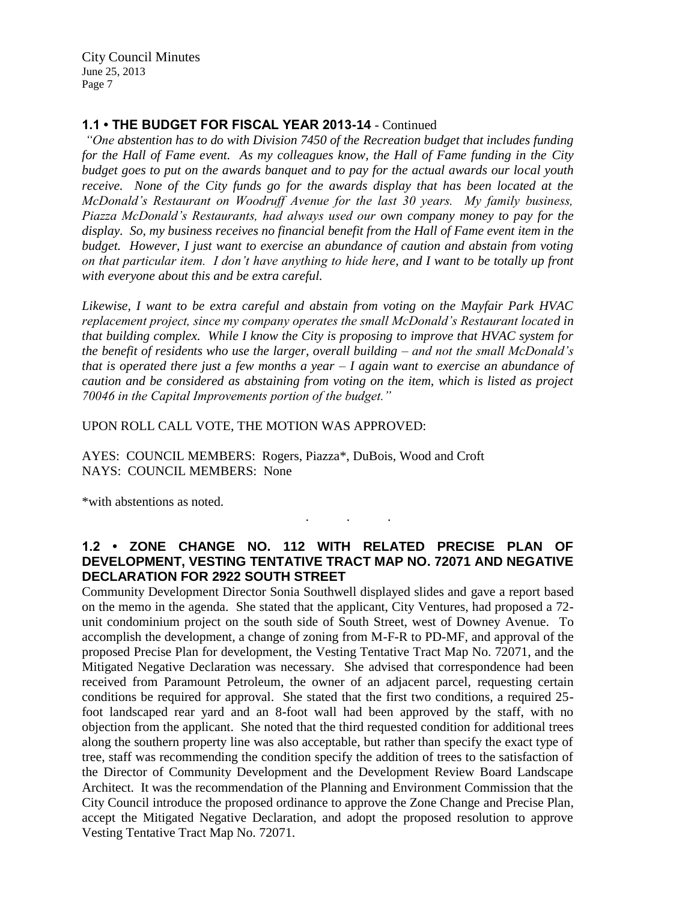# **1.1 • THE BUDGET FOR FISCAL YEAR 2013-14** - Continued

*"One abstention has to do with Division 7450 of the Recreation budget that includes funding for the Hall of Fame event. As my colleagues know, the Hall of Fame funding in the City budget goes to put on the awards banquet and to pay for the actual awards our local youth receive. None of the City funds go for the awards display that has been located at the McDonald's Restaurant on Woodruff Avenue for the last 30 years. My family business, Piazza McDonald's Restaurants, had always used our own company money to pay for the display. So, my business receives no financial benefit from the Hall of Fame event item in the budget. However, I just want to exercise an abundance of caution and abstain from voting on that particular item. I don't have anything to hide here, and I want to be totally up front with everyone about this and be extra careful.*

*Likewise, I want to be extra careful and abstain from voting on the Mayfair Park HVAC replacement project, since my company operates the small McDonald's Restaurant located in that building complex. While I know the City is proposing to improve that HVAC system for the benefit of residents who use the larger, overall building – and not the small McDonald's that is operated there just a few months a year – I again want to exercise an abundance of caution and be considered as abstaining from voting on the item, which is listed as project 70046 in the Capital Improvements portion of the budget."*

UPON ROLL CALL VOTE, THE MOTION WAS APPROVED:

AYES: COUNCIL MEMBERS: Rogers, Piazza\*, DuBois, Wood and Croft NAYS: COUNCIL MEMBERS: None

\*with abstentions as noted.

# **1.2 • ZONE CHANGE NO. 112 WITH RELATED PRECISE PLAN OF DEVELOPMENT, VESTING TENTATIVE TRACT MAP NO. 72071 AND NEGATIVE DECLARATION FOR 2922 SOUTH STREET**

. . .

Community Development Director Sonia Southwell displayed slides and gave a report based on the memo in the agenda. She stated that the applicant, City Ventures, had proposed a 72 unit condominium project on the south side of South Street, west of Downey Avenue. To accomplish the development, a change of zoning from M-F-R to PD-MF, and approval of the proposed Precise Plan for development, the Vesting Tentative Tract Map No. 72071, and the Mitigated Negative Declaration was necessary. She advised that correspondence had been received from Paramount Petroleum, the owner of an adjacent parcel, requesting certain conditions be required for approval. She stated that the first two conditions, a required 25 foot landscaped rear yard and an 8-foot wall had been approved by the staff, with no objection from the applicant. She noted that the third requested condition for additional trees along the southern property line was also acceptable, but rather than specify the exact type of tree, staff was recommending the condition specify the addition of trees to the satisfaction of the Director of Community Development and the Development Review Board Landscape Architect. It was the recommendation of the Planning and Environment Commission that the City Council introduce the proposed ordinance to approve the Zone Change and Precise Plan, accept the Mitigated Negative Declaration, and adopt the proposed resolution to approve Vesting Tentative Tract Map No. 72071.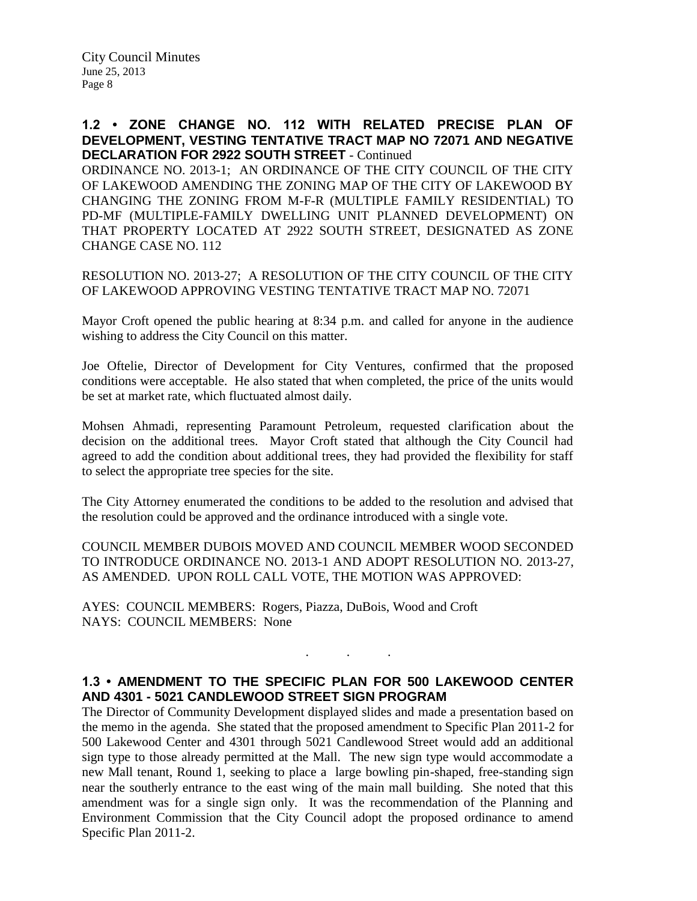### **1.2 • ZONE CHANGE NO. 112 WITH RELATED PRECISE PLAN OF DEVELOPMENT, VESTING TENTATIVE TRACT MAP NO 72071 AND NEGATIVE DECLARATION FOR 2922 SOUTH STREET** - Continued

ORDINANCE NO. 2013-1; AN ORDINANCE OF THE CITY COUNCIL OF THE CITY OF LAKEWOOD AMENDING THE ZONING MAP OF THE CITY OF LAKEWOOD BY CHANGING THE ZONING FROM M-F-R (MULTIPLE FAMILY RESIDENTIAL) TO PD-MF (MULTIPLE-FAMILY DWELLING UNIT PLANNED DEVELOPMENT) ON THAT PROPERTY LOCATED AT 2922 SOUTH STREET, DESIGNATED AS ZONE CHANGE CASE NO. 112

RESOLUTION NO. 2013-27; A RESOLUTION OF THE CITY COUNCIL OF THE CITY OF LAKEWOOD APPROVING VESTING TENTATIVE TRACT MAP NO. 72071

Mayor Croft opened the public hearing at 8:34 p.m. and called for anyone in the audience wishing to address the City Council on this matter.

Joe Oftelie, Director of Development for City Ventures, confirmed that the proposed conditions were acceptable. He also stated that when completed, the price of the units would be set at market rate, which fluctuated almost daily.

Mohsen Ahmadi, representing Paramount Petroleum, requested clarification about the decision on the additional trees. Mayor Croft stated that although the City Council had agreed to add the condition about additional trees, they had provided the flexibility for staff to select the appropriate tree species for the site.

The City Attorney enumerated the conditions to be added to the resolution and advised that the resolution could be approved and the ordinance introduced with a single vote.

COUNCIL MEMBER DUBOIS MOVED AND COUNCIL MEMBER WOOD SECONDED TO INTRODUCE ORDINANCE NO. 2013-1 AND ADOPT RESOLUTION NO. 2013-27, AS AMENDED. UPON ROLL CALL VOTE, THE MOTION WAS APPROVED:

AYES: COUNCIL MEMBERS: Rogers, Piazza, DuBois, Wood and Croft NAYS: COUNCIL MEMBERS: None

# **1.3 • AMENDMENT TO THE SPECIFIC PLAN FOR 500 LAKEWOOD CENTER AND 4301 - 5021 CANDLEWOOD STREET SIGN PROGRAM**

. . .

The Director of Community Development displayed slides and made a presentation based on the memo in the agenda. She stated that the proposed amendment to Specific Plan 2011-2 for 500 Lakewood Center and 4301 through 5021 Candlewood Street would add an additional sign type to those already permitted at the Mall. The new sign type would accommodate a new Mall tenant, Round 1, seeking to place a large bowling pin-shaped, free-standing sign near the southerly entrance to the east wing of the main mall building. She noted that this amendment was for a single sign only. It was the recommendation of the Planning and Environment Commission that the City Council adopt the proposed ordinance to amend Specific Plan 2011-2.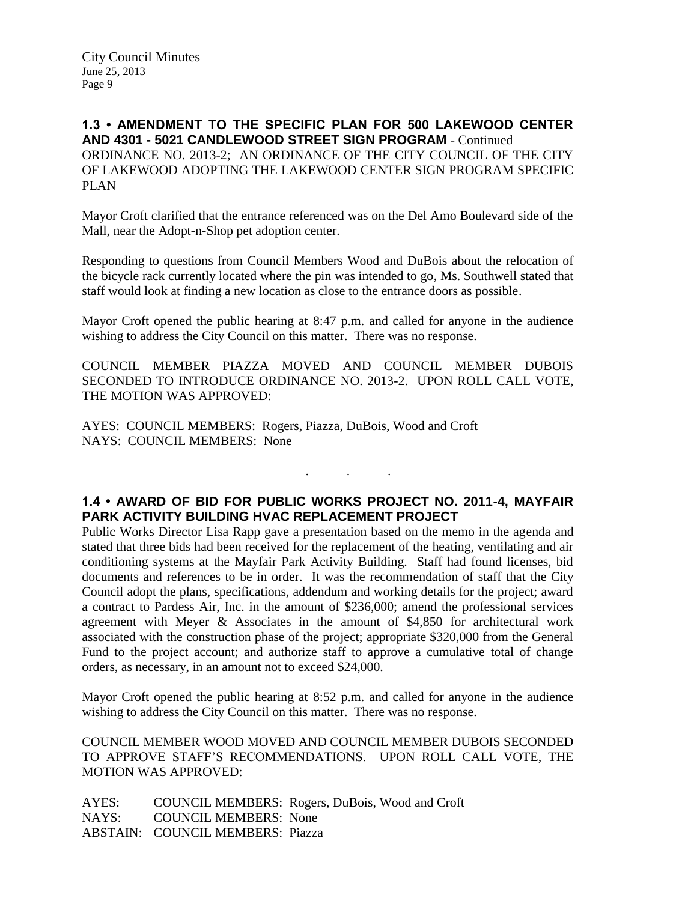**1.3 • AMENDMENT TO THE SPECIFIC PLAN FOR 500 LAKEWOOD CENTER AND 4301 - 5021 CANDLEWOOD STREET SIGN PROGRAM** - Continued ORDINANCE NO. 2013-2; AN ORDINANCE OF THE CITY COUNCIL OF THE CITY OF LAKEWOOD ADOPTING THE LAKEWOOD CENTER SIGN PROGRAM SPECIFIC PLAN

Mayor Croft clarified that the entrance referenced was on the Del Amo Boulevard side of the Mall, near the Adopt-n-Shop pet adoption center.

Responding to questions from Council Members Wood and DuBois about the relocation of the bicycle rack currently located where the pin was intended to go, Ms. Southwell stated that staff would look at finding a new location as close to the entrance doors as possible.

Mayor Croft opened the public hearing at 8:47 p.m. and called for anyone in the audience wishing to address the City Council on this matter. There was no response.

COUNCIL MEMBER PIAZZA MOVED AND COUNCIL MEMBER DUBOIS SECONDED TO INTRODUCE ORDINANCE NO. 2013-2. UPON ROLL CALL VOTE, THE MOTION WAS APPROVED:

AYES: COUNCIL MEMBERS: Rogers, Piazza, DuBois, Wood and Croft NAYS: COUNCIL MEMBERS: None

# **1.4 • AWARD OF BID FOR PUBLIC WORKS PROJECT NO. 2011-4, MAYFAIR PARK ACTIVITY BUILDING HVAC REPLACEMENT PROJECT**

. . .

Public Works Director Lisa Rapp gave a presentation based on the memo in the agenda and stated that three bids had been received for the replacement of the heating, ventilating and air conditioning systems at the Mayfair Park Activity Building. Staff had found licenses, bid documents and references to be in order. It was the recommendation of staff that the City Council adopt the plans, specifications, addendum and working details for the project; award a contract to Pardess Air, Inc. in the amount of \$236,000; amend the professional services agreement with Meyer & Associates in the amount of \$4,850 for architectural work associated with the construction phase of the project; appropriate \$320,000 from the General Fund to the project account; and authorize staff to approve a cumulative total of change orders, as necessary, in an amount not to exceed \$24,000.

Mayor Croft opened the public hearing at 8:52 p.m. and called for anyone in the audience wishing to address the City Council on this matter. There was no response.

COUNCIL MEMBER WOOD MOVED AND COUNCIL MEMBER DUBOIS SECONDED TO APPROVE STAFF'S RECOMMENDATIONS. UPON ROLL CALL VOTE, THE MOTION WAS APPROVED:

AYES: COUNCIL MEMBERS: Rogers, DuBois, Wood and Croft NAYS: COUNCIL MEMBERS: None ABSTAIN: COUNCIL MEMBERS: Piazza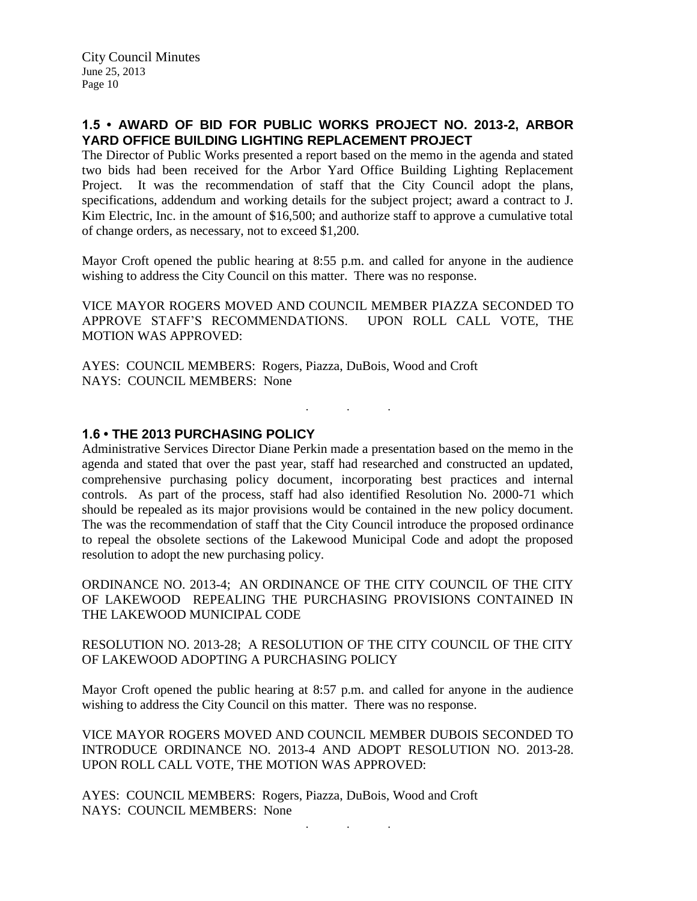# **1.5 • AWARD OF BID FOR PUBLIC WORKS PROJECT NO. 2013-2, ARBOR YARD OFFICE BUILDING LIGHTING REPLACEMENT PROJECT**

The Director of Public Works presented a report based on the memo in the agenda and stated two bids had been received for the Arbor Yard Office Building Lighting Replacement Project. It was the recommendation of staff that the City Council adopt the plans, specifications, addendum and working details for the subject project; award a contract to J. Kim Electric, Inc. in the amount of \$16,500; and authorize staff to approve a cumulative total of change orders, as necessary, not to exceed \$1,200.

Mayor Croft opened the public hearing at 8:55 p.m. and called for anyone in the audience wishing to address the City Council on this matter. There was no response.

VICE MAYOR ROGERS MOVED AND COUNCIL MEMBER PIAZZA SECONDED TO APPROVE STAFF'S RECOMMENDATIONS. UPON ROLL CALL VOTE, THE MOTION WAS APPROVED:

. . .

AYES: COUNCIL MEMBERS: Rogers, Piazza, DuBois, Wood and Croft NAYS: COUNCIL MEMBERS: None

### **1.6 • THE 2013 PURCHASING POLICY**

Administrative Services Director Diane Perkin made a presentation based on the memo in the agenda and stated that over the past year, staff had researched and constructed an updated, comprehensive purchasing policy document, incorporating best practices and internal controls. As part of the process, staff had also identified Resolution No. 2000-71 which should be repealed as its major provisions would be contained in the new policy document. The was the recommendation of staff that the City Council introduce the proposed ordinance to repeal the obsolete sections of the Lakewood Municipal Code and adopt the proposed resolution to adopt the new purchasing policy.

ORDINANCE NO. 2013-4; AN ORDINANCE OF THE CITY COUNCIL OF THE CITY OF LAKEWOOD REPEALING THE PURCHASING PROVISIONS CONTAINED IN THE LAKEWOOD MUNICIPAL CODE

RESOLUTION NO. 2013-28; A RESOLUTION OF THE CITY COUNCIL OF THE CITY OF LAKEWOOD ADOPTING A PURCHASING POLICY

Mayor Croft opened the public hearing at 8:57 p.m. and called for anyone in the audience wishing to address the City Council on this matter. There was no response.

VICE MAYOR ROGERS MOVED AND COUNCIL MEMBER DUBOIS SECONDED TO INTRODUCE ORDINANCE NO. 2013-4 AND ADOPT RESOLUTION NO. 2013-28. UPON ROLL CALL VOTE, THE MOTION WAS APPROVED:

. . .

AYES: COUNCIL MEMBERS: Rogers, Piazza, DuBois, Wood and Croft NAYS: COUNCIL MEMBERS: None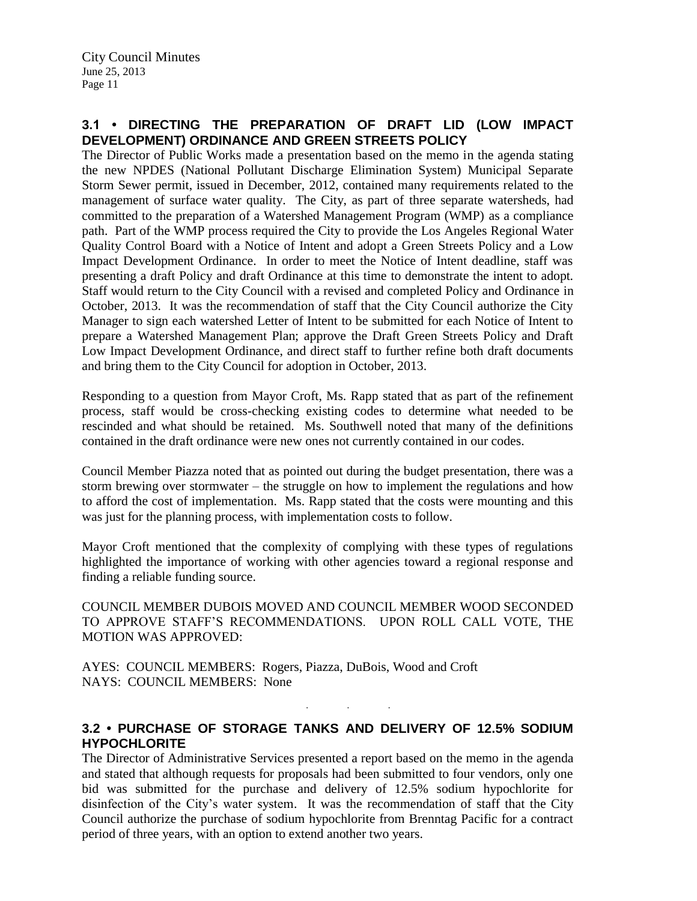# **3.1 • DIRECTING THE PREPARATION OF DRAFT LID (LOW IMPACT DEVELOPMENT) ORDINANCE AND GREEN STREETS POLICY**

The Director of Public Works made a presentation based on the memo in the agenda stating the new NPDES (National Pollutant Discharge Elimination System) Municipal Separate Storm Sewer permit, issued in December, 2012, contained many requirements related to the management of surface water quality. The City, as part of three separate watersheds, had committed to the preparation of a Watershed Management Program (WMP) as a compliance path. Part of the WMP process required the City to provide the Los Angeles Regional Water Quality Control Board with a Notice of Intent and adopt a Green Streets Policy and a Low Impact Development Ordinance. In order to meet the Notice of Intent deadline, staff was presenting a draft Policy and draft Ordinance at this time to demonstrate the intent to adopt. Staff would return to the City Council with a revised and completed Policy and Ordinance in October, 2013. It was the recommendation of staff that the City Council authorize the City Manager to sign each watershed Letter of Intent to be submitted for each Notice of Intent to prepare a Watershed Management Plan; approve the Draft Green Streets Policy and Draft Low Impact Development Ordinance, and direct staff to further refine both draft documents and bring them to the City Council for adoption in October, 2013.

Responding to a question from Mayor Croft, Ms. Rapp stated that as part of the refinement process, staff would be cross-checking existing codes to determine what needed to be rescinded and what should be retained. Ms. Southwell noted that many of the definitions contained in the draft ordinance were new ones not currently contained in our codes.

Council Member Piazza noted that as pointed out during the budget presentation, there was a storm brewing over stormwater – the struggle on how to implement the regulations and how to afford the cost of implementation. Ms. Rapp stated that the costs were mounting and this was just for the planning process, with implementation costs to follow.

Mayor Croft mentioned that the complexity of complying with these types of regulations highlighted the importance of working with other agencies toward a regional response and finding a reliable funding source.

COUNCIL MEMBER DUBOIS MOVED AND COUNCIL MEMBER WOOD SECONDED TO APPROVE STAFF'S RECOMMENDATIONS. UPON ROLL CALL VOTE, THE MOTION WAS APPROVED:

AYES: COUNCIL MEMBERS: Rogers, Piazza, DuBois, Wood and Croft NAYS: COUNCIL MEMBERS: None

# **3.2 • PURCHASE OF STORAGE TANKS AND DELIVERY OF 12.5% SODIUM HYPOCHLORITE**

. . .

The Director of Administrative Services presented a report based on the memo in the agenda and stated that although requests for proposals had been submitted to four vendors, only one bid was submitted for the purchase and delivery of 12.5% sodium hypochlorite for disinfection of the City's water system. It was the recommendation of staff that the City Council authorize the purchase of sodium hypochlorite from Brenntag Pacific for a contract period of three years, with an option to extend another two years.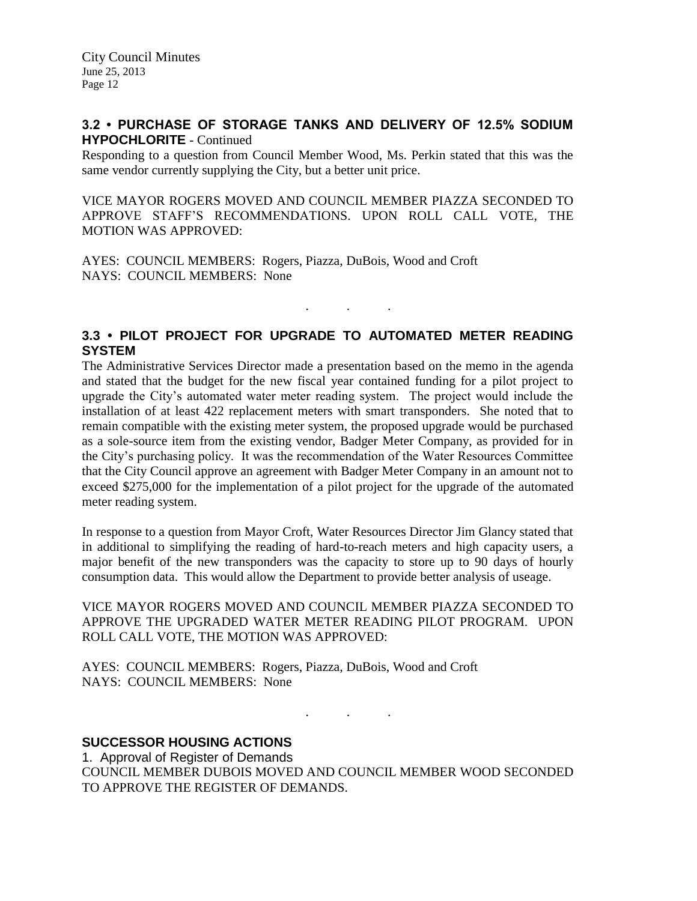# **3.2 • PURCHASE OF STORAGE TANKS AND DELIVERY OF 12.5% SODIUM HYPOCHLORITE** - Continued

Responding to a question from Council Member Wood, Ms. Perkin stated that this was the same vendor currently supplying the City, but a better unit price.

VICE MAYOR ROGERS MOVED AND COUNCIL MEMBER PIAZZA SECONDED TO APPROVE STAFF'S RECOMMENDATIONS. UPON ROLL CALL VOTE, THE MOTION WAS APPROVED:

AYES: COUNCIL MEMBERS: Rogers, Piazza, DuBois, Wood and Croft NAYS: COUNCIL MEMBERS: None

# **3.3 • PILOT PROJECT FOR UPGRADE TO AUTOMATED METER READING SYSTEM**

. . .

The Administrative Services Director made a presentation based on the memo in the agenda and stated that the budget for the new fiscal year contained funding for a pilot project to upgrade the City's automated water meter reading system. The project would include the installation of at least 422 replacement meters with smart transponders. She noted that to remain compatible with the existing meter system, the proposed upgrade would be purchased as a sole-source item from the existing vendor, Badger Meter Company, as provided for in the City's purchasing policy. It was the recommendation of the Water Resources Committee that the City Council approve an agreement with Badger Meter Company in an amount not to exceed \$275,000 for the implementation of a pilot project for the upgrade of the automated meter reading system.

In response to a question from Mayor Croft, Water Resources Director Jim Glancy stated that in additional to simplifying the reading of hard-to-reach meters and high capacity users, a major benefit of the new transponders was the capacity to store up to 90 days of hourly consumption data. This would allow the Department to provide better analysis of useage.

VICE MAYOR ROGERS MOVED AND COUNCIL MEMBER PIAZZA SECONDED TO APPROVE THE UPGRADED WATER METER READING PILOT PROGRAM. UPON ROLL CALL VOTE, THE MOTION WAS APPROVED:

AYES: COUNCIL MEMBERS: Rogers, Piazza, DuBois, Wood and Croft NAYS: COUNCIL MEMBERS: None

**SUCCESSOR HOUSING ACTIONS**

1. Approval of Register of Demands COUNCIL MEMBER DUBOIS MOVED AND COUNCIL MEMBER WOOD SECONDED TO APPROVE THE REGISTER OF DEMANDS.

. . .